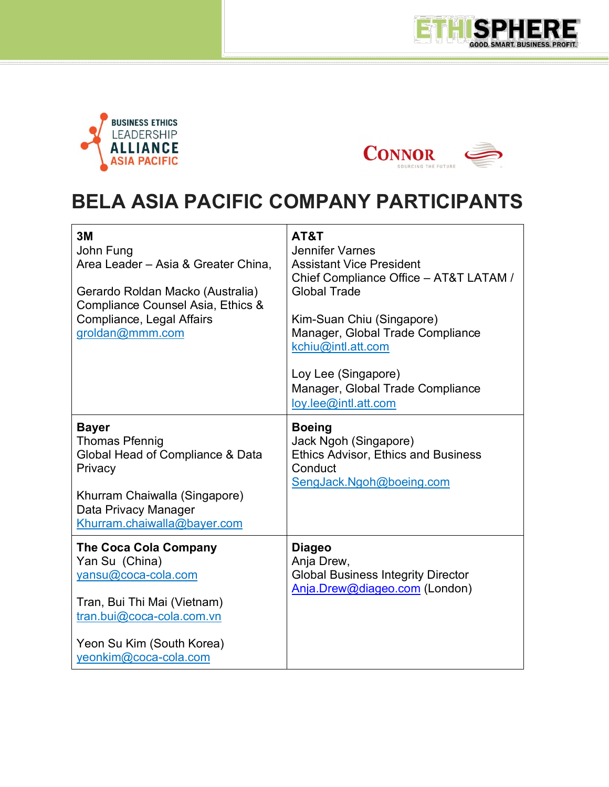



 $\overline{a}$ 



## **BELA ASIA PACIFIC COMPANY PARTICIPANTS**

| 3M<br>John Fung<br>Area Leader - Asia & Greater China.<br>Gerardo Roldan Macko (Australia)<br>Compliance Counsel Asia, Ethics &<br>Compliance, Legal Affairs<br>groldan@mmm.com         | AT&T<br><b>Jennifer Varnes</b><br><b>Assistant Vice President</b><br>Chief Compliance Office - AT&T LATAM /<br><b>Global Trade</b><br>Kim-Suan Chiu (Singapore)<br>Manager, Global Trade Compliance<br>kchiu@intl.att.com<br>Loy Lee (Singapore)<br>Manager, Global Trade Compliance<br>loy.lee@intl.att.com |
|-----------------------------------------------------------------------------------------------------------------------------------------------------------------------------------------|--------------------------------------------------------------------------------------------------------------------------------------------------------------------------------------------------------------------------------------------------------------------------------------------------------------|
| <b>Bayer</b><br><b>Thomas Pfennig</b><br>Global Head of Compliance & Data<br>Privacy<br>Khurram Chaiwalla (Singapore)<br>Data Privacy Manager<br>Khurram.chaiwalla@bayer.com            | <b>Boeing</b><br>Jack Ngoh (Singapore)<br><b>Ethics Advisor, Ethics and Business</b><br>Conduct<br>SengJack.Ngoh@boeing.com                                                                                                                                                                                  |
| <b>The Coca Cola Company</b><br>Yan Su (China)<br>yansu@coca-cola.com<br>Tran, Bui Thi Mai (Vietnam)<br>tran.bui@coca-cola.com.vn<br>Yeon Su Kim (South Korea)<br>yeonkim@coca-cola.com | <b>Diageo</b><br>Anja Drew,<br><b>Global Business Integrity Director</b><br>Anja.Drew@diageo.com (London)                                                                                                                                                                                                    |